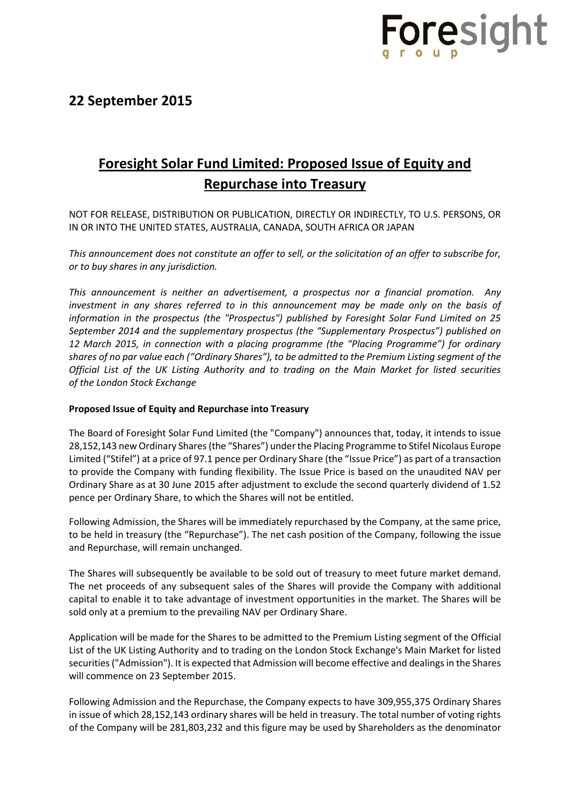

## **Foresight Solar Fund Limited: Proposed Issue of Equity and Repurchase into Treasury**

NOT FOR RELEASE, DISTRIBUTION OR PUBLICATION, DIRECTLY OR INDIRECTLY, TO U.S. PERSONS, OR IN OR INTO THE UNITED STATES, AUSTRALIA, CANADA, SOUTH AFRICA OR JAPAN

*This announcement does not constitute an offer to sell, or the solicitation of an offer to subscribe for, or to buy shares in any jurisdiction.*

*This announcement is neither an advertisement, a prospectus nor a financial promotion. Any investment in any shares referred to in this announcement may be made only on the basis of information in the prospectus (the "Prospectus") published by Foresight Solar Fund Limited on 25 September 2014 and the supplementary prospectus (the "Supplementary Prospectus") published on 12 March 2015, in connection with a placing programme (the "Placing Programme") for ordinary shares of no par value each ("Ordinary Shares"), to be admitted to the Premium Listing segment of the Official List of the UK Listing Authority and to trading on the Main Market for listed securities of the London Stock Exchange*

#### **Proposed Issue of Equity and Repurchase into Treasury**

The Board of Foresight Solar Fund Limited (the "Company") announces that, today, it intends to issue 28,152,143 new Ordinary Shares (the "Shares") under the Placing Programme to Stifel Nicolaus Europe Limited ("Stifel") at a price of 97.1 pence per Ordinary Share (the "Issue Price") as part of a transaction to provide the Company with funding flexibility. The Issue Price is based on the unaudited NAV per Ordinary Share as at 30 June 2015 after adjustment to exclude the second quarterly dividend of 1.52 pence per Ordinary Share, to which the Shares will not be entitled.

Following Admission, the Shares will be immediately repurchased by the Company, at the same price, to be held in treasury (the "Repurchase"). The net cash position of the Company, following the issue and Repurchase, will remain unchanged.

The Shares will subsequently be available to be sold out of treasury to meet future market demand. The net proceeds of any subsequent sales of the Shares will provide the Company with additional capital to enable it to take advantage of investment opportunities in the market. The Shares will be sold only at a premium to the prevailing NAV per Ordinary Share.

Application will be made for the Shares to be admitted to the Premium Listing segment of the Official List of the UK Listing Authority and to trading on the London Stock Exchange's Main Market for listed securities ("Admission"). It is expected that Admission will become effective and dealings in the Shares will commence on 23 September 2015.

Following Admission and the Repurchase, the Company expects to have 309,955,375 Ordinary Shares in issue of which 28,152,143 ordinary shares will be held in treasury. The total number of voting rights of the Company will be 281,803,232 and this figure may be used by Shareholders as the denominator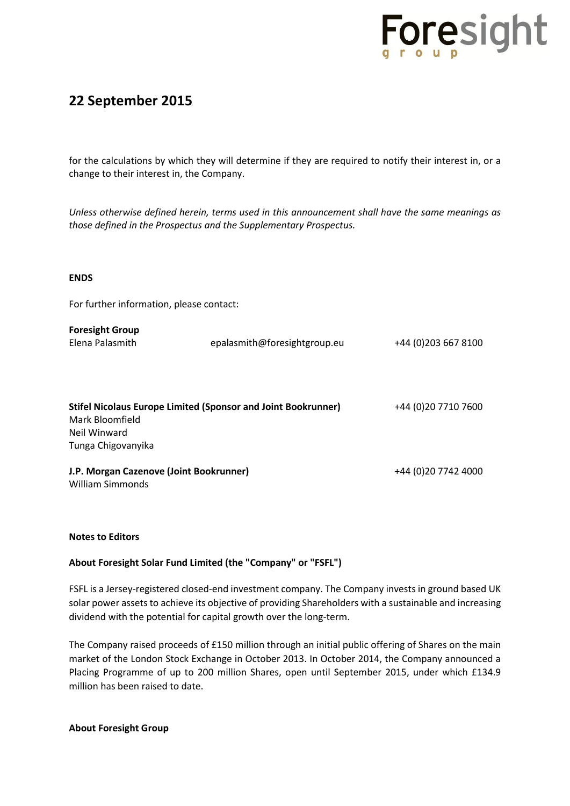

### **22 September 2015**

for the calculations by which they will determine if they are required to notify their interest in, or a change to their interest in, the Company.

*Unless otherwise defined herein, terms used in this announcement shall have the same meanings as those defined in the Prospectus and the Supplementary Prospectus.*

#### **ENDS**

For further information, please contact:

| <b>Foresight Group</b><br>Elena Palasmith                                                                                     | epalasmith@foresightgroup.eu | +44 (0) 203 667 8100 |
|-------------------------------------------------------------------------------------------------------------------------------|------------------------------|----------------------|
| <b>Stifel Nicolaus Europe Limited (Sponsor and Joint Bookrunner)</b><br>Mark Bloomfield<br>Neil Winward<br>Tunga Chigovanyika |                              | +44 (0) 20 7710 7600 |
| J.P. Morgan Cazenove (Joint Bookrunner)<br>William Simmonds                                                                   |                              | +44 (0) 20 7742 4000 |

#### **Notes to Editors**

#### **About Foresight Solar Fund Limited (the "Company" or "FSFL")**

FSFL is a Jersey-registered closed-end investment company. The Company invests in ground based UK solar power assets to achieve its objective of providing Shareholders with a sustainable and increasing dividend with the potential for capital growth over the long-term.

The Company raised proceeds of £150 million through an initial public offering of Shares on the main market of the London Stock Exchange in October 2013. In October 2014, the Company announced a Placing Programme of up to 200 million Shares, open until September 2015, under which £134.9 million has been raised to date.

**About Foresight Group**